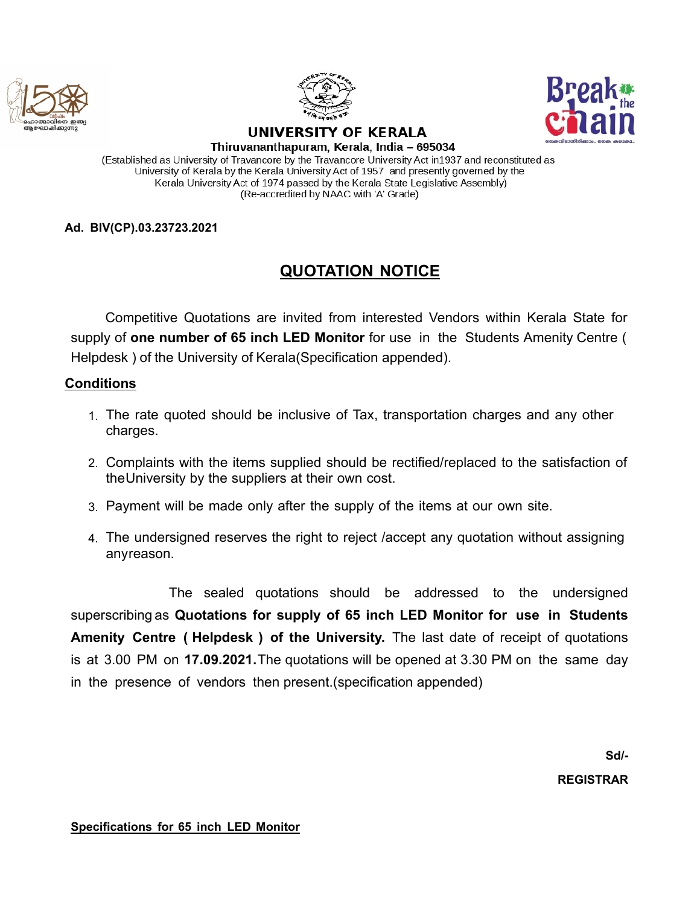





## UNIVERSITY OF KERALA

Thiruvananthapuram, Kerala, India - 695034 (Established as University of Travancore by the Travancore University Act in1937 and reconstituted as University of Kerala by the Kerala University Act of 1957 and presently governed by the Kerala University Act of 1974 passed by the Kerala State Legislative Assembly) (Re-accredited by NAAC with 'A' Grade)

## **Ad. BIV(CP).03.23723.2021**

## **QUOTATION NOTICE**

Competitive Quotations are invited from interested Vendors within Kerala State for supply of **one number of 65 inch LED Monitor** for use in the Students Amenity Centre ( Helpdesk) of the University of Kerala(Specification appended).

## **Conditions**

- 1. The rate quoted should be inclusive of Tax, transportation charges and any other charges.
- 2. Complaints with the items supplied should be rectified/replaced to the satisfaction of theUniversity by the suppliers at their own cost.
- 3. Payment will be made only after the supply of the items at our own site.
- 4. The undersigned reserves the right to reject /accept any quotation without assigning anyreason.

The sealed quotations should be addressed to the undersigned superscribing as **Quotations for supply of 65 inch LED Monitor for use in Students Amenity Centre ( Helpdesk ) of the University.** The last date of receipt of quotations is at 3.00 PM on **17.09.2021.**The quotations will be opened at 3.30 PM on the same day in the presence of vendors then present.(specification appended)

**Sd/-**

**REGISTRAR**

**Specifications for 65 inch LED Monitor**